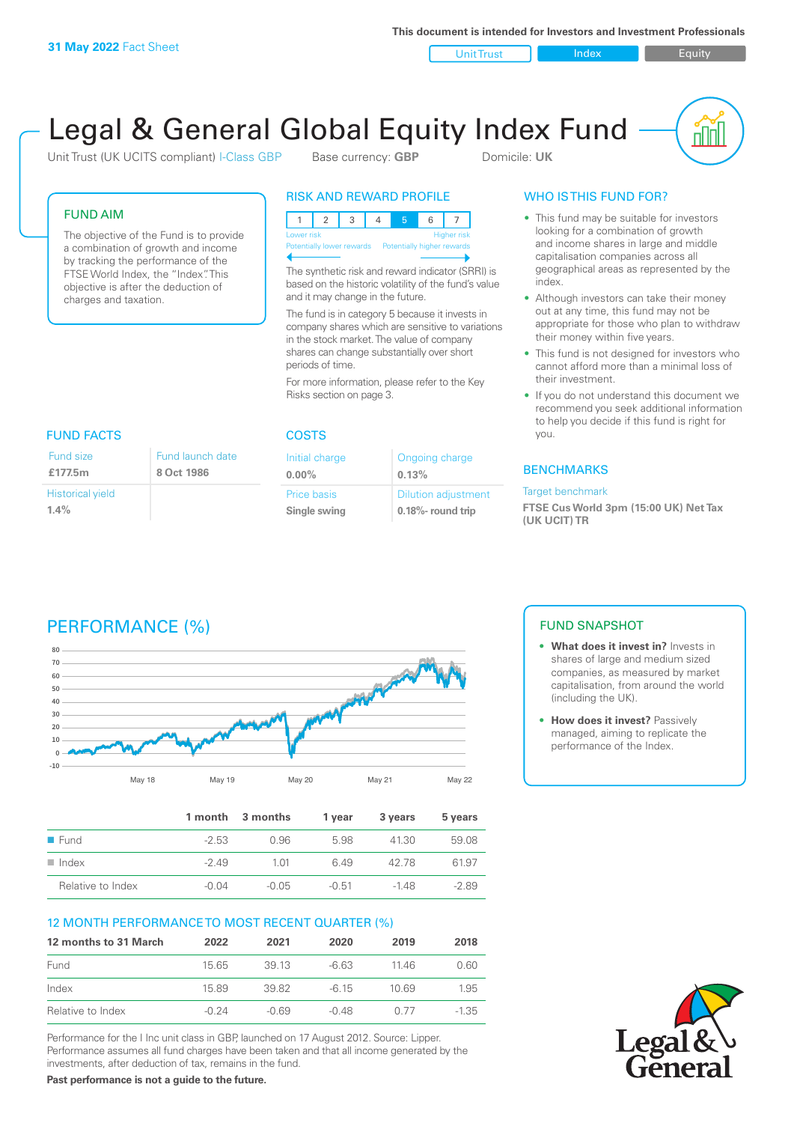Unit Trust Index I Equity

u ju

# Legal & General Global Equity Index Fund

Unit Trust (UK UCITS compliant) I-Class GBP Base currency: **GBP** Domicile: UK

#### FUND AIM

The objective of the Fund is to provide a combination of growth and income by tracking the performance of the FTSE World Index, the "Index". This objective is after the deduction of charges and taxation.

#### RISK AND REWARD PROFILE

| Lower risk                                           |  |  |  |  |  | <b>Higher risk</b> |
|------------------------------------------------------|--|--|--|--|--|--------------------|
| Potentially lower rewards Potentially higher rewards |  |  |  |  |  |                    |
|                                                      |  |  |  |  |  |                    |

The synthetic risk and reward indicator (SRRI) is based on the historic volatility of the fund's value and it may change in the future.

The fund is in category 5 because it invests in company shares which are sensitive to variations in the stock market. The value of company shares can change substantially over short periods of time.

For more information, please refer to the Key Risks section on page 3.

# FUND FACTS COSTS

| Fund size               | Fund launch date |
|-------------------------|------------------|
| £177.5m                 | 8 Oct 1986       |
| <b>Historical yield</b> |                  |
| 1.4%                    |                  |

| Initial charge | Ongoing charge             |
|----------------|----------------------------|
| $0.00\%$       | 0.13%                      |
| Price basis    | <b>Dilution adjustment</b> |
| Single swing   | $0.18\%$ - round trip      |

### WHO IS THIS FUND FOR?

- This fund may be suitable for investors looking for a combination of growth and income shares in large and middle capitalisation companies across all geographical areas as represented by the index.
- Although investors can take their money out at any time, this fund may not be appropriate for those who plan to withdraw their money within five years.
- This fund is not designed for investors who cannot afford more than a minimal loss of their investment.
- If you do not understand this document we recommend you seek additional information to help you decide if this fund is right for you.

#### **BENCHMARKS**

#### Target benchmark

**FTSE Cus World 3pm (15:00 UK) Net Tax (UK UCIT) TR**

# PERFORMANCE (%)



|                      |         | 1 month 3 months | 1 vear  | 3 years | 5 years |
|----------------------|---------|------------------|---------|---------|---------|
| $\blacksquare$ Fund  | $-2.53$ | 0.96             | 5.98    | 41.30   | 59.08   |
| $\blacksquare$ Index | $-249$  | 1.01             | 649     | 42.78   | 61.97   |
| Relative to Index    | -0.04   | $-0.05$          | $-0.51$ | $-148$  | $-2.89$ |

### 12 MONTH PERFORMANCE TO MOST RECENT QUARTER (%)

| 12 months to 31 March | 2022    | 2021    | 2020    | 2019  | 2018    |
|-----------------------|---------|---------|---------|-------|---------|
| Fund                  | 15 65   | 39 13   | $-663$  | 11 46 | 0.60    |
| Index                 | 15.89   | 39.82   | $-6.15$ | 10.69 | 1.95    |
| Relative to Index     | $-0.24$ | $-0.69$ | $-0.48$ | 0.77  | $-1.35$ |

Performance for the I Inc unit class in GBP, launched on 17 August 2012. Source: Lipper. Performance assumes all fund charges have been taken and that all income generated by the investments, after deduction of tax, remains in the fund.

**Past performance is not a guide to the future.**

### FUND SNAPSHOT

- **• What does it invest in?** Invests in shares of large and medium sized companies, as measured by market capitalisation, from around the world (including the UK).
- **• How does it invest?** Passively managed, aiming to replicate the performance of the Index.

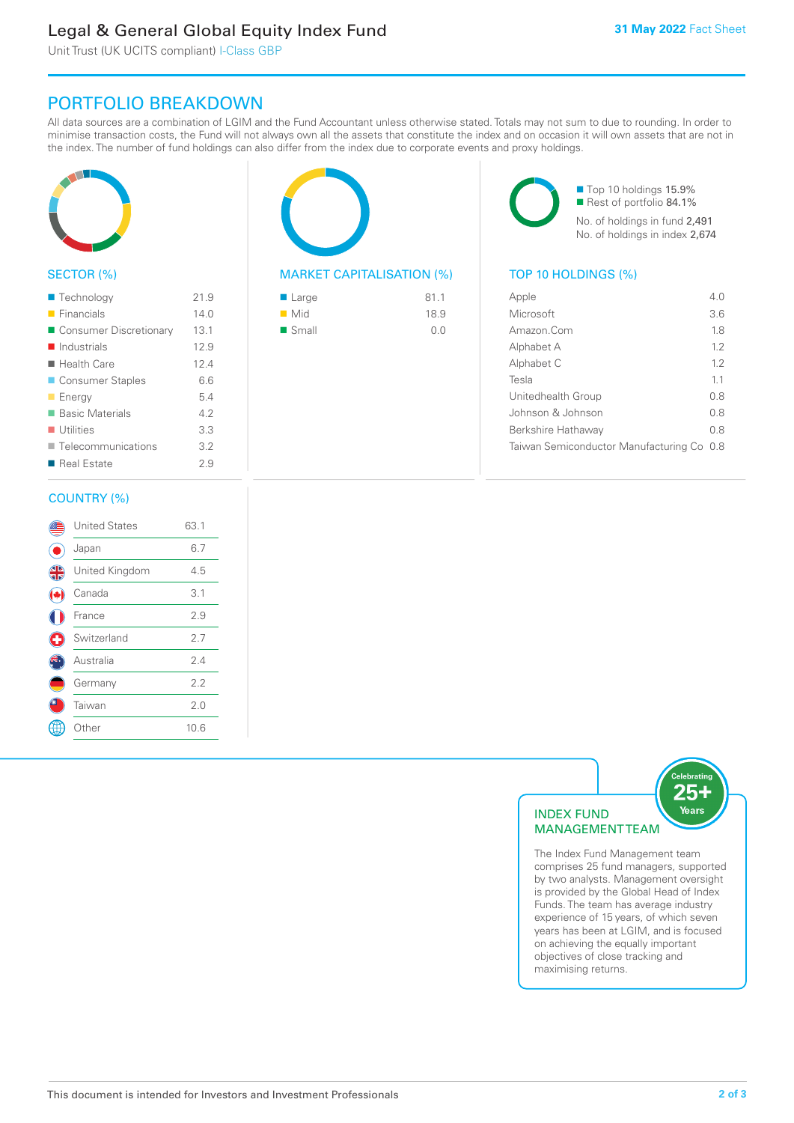# Legal & General Global Equity Index Fund

Unit Trust (UK UCITS compliant) I-Class GBP

## PORTFOLIO BREAKDOWN

All data sources are a combination of LGIM and the Fund Accountant unless otherwise stated. Totals may not sum to due to rounding. In order to minimise transaction costs, the Fund will not always own all the assets that constitute the index and on occasion it will own assets that are not in the index. The number of fund holdings can also differ from the index due to corporate events and proxy holdings.



#### SECTOR (%)

| ■ Technology               | 21.9 |
|----------------------------|------|
| $\blacksquare$ Financials  | 14.0 |
| ■ Consumer Discretionary   | 13.1 |
| $\blacksquare$ Industrials | 12.9 |
| $\blacksquare$ Health Care | 12.4 |
| ■ Consumer Staples         | 6.6  |
| <b>Energy</b>              | 5.4  |
| ■ Basic Materials          | 4.2  |
| $\blacksquare$ Utilities   | 3.3  |
| ■ Telecommunications       | 3.2  |
| ■ Real Estate              | 29   |
|                            |      |

#### COUNTRY (%)

|               | <b>United States</b> | 63.1 |  |
|---------------|----------------------|------|--|
|               | Japan                | 6.7  |  |
| $\frac{4}{3}$ | United Kingdom       | 4.5  |  |
|               | Canada               | 3.1  |  |
|               | France               | 2.9  |  |
| U             | Switzerland          | 2.7  |  |
|               | Australia            | 2.4  |  |
|               | Germany              | 2.2  |  |
|               | Taiwan               | 2.0  |  |
|               | Other                | 10.6 |  |
|               |                      |      |  |



#### MARKET CAPITALISATION (%) TOP 10 HOLDINGS (%)

| ■ Large            | 81.1 |
|--------------------|------|
| $\blacksquare$ Mid | 18.9 |
| ■ Small            | 0.0  |

■ Top 10 holdings 15.9% Rest of portfolio 84.1% No. of holdings in fund 2,491 No. of holdings in index 2,674

| Apple                                 | 4 N |
|---------------------------------------|-----|
| Microsoft                             | 3.6 |
| Amazon Com                            | 18  |
| Alphabet A                            | 12  |
| Alphabet C                            | 12  |
| Tesla                                 | 11  |
| Unitedhealth Group                    | 08  |
| Johnson & Johnson                     | 0 S |
| Berkshire Hathaway                    | 0 S |
| Taiwan Semiconductor Manufacturing Co | 0.8 |
|                                       |     |



The Index Fund Management team comprises 25 fund managers, supported by two analysts. Management oversight is provided by the Global Head of Index Funds. The team has average industry experience of 15 years, of which seven years has been at LGIM, and is focused on achieving the equally important objectives of close tracking and maximising returns.